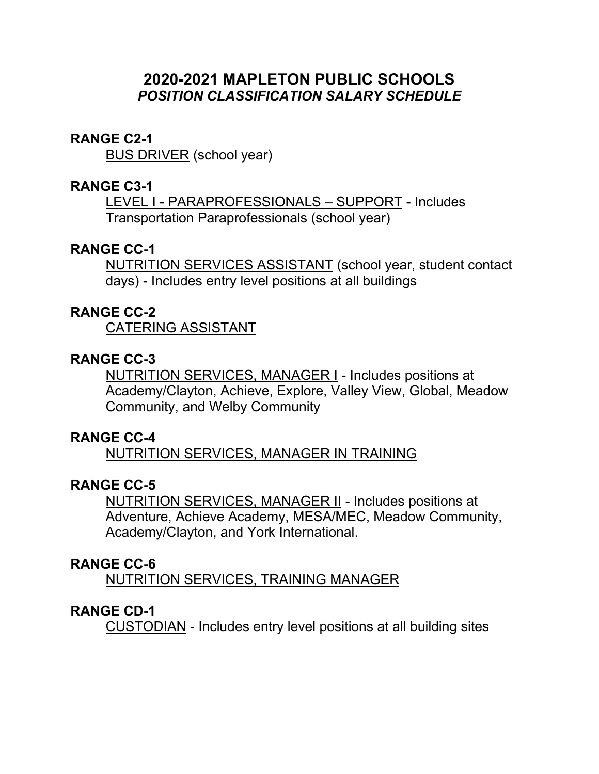# **2020-2021 MAPLETON PUBLIC SCHOOLS**  *POSITION CLASSIFICATION SALARY SCHEDULE*

#### **RANGE C2-1**

BUS DRIVER (school year)

#### **RANGE C3-1**

LEVEL I - PARAPROFESSIONALS – SUPPORT - Includes Transportation Paraprofessionals (school year)

## **RANGE CC-1**

NUTRITION SERVICES ASSISTANT (school year, student contact days) - Includes entry level positions at all buildings

#### **RANGE CC-2**

CATERING ASSISTANT

# **RANGE CC-3**

NUTRITION SERVICES, MANAGER I - Includes positions at Academy/Clayton, Achieve, Explore, Valley View, Global, Meadow Community, and Welby Community

## **RANGE CC-4**

NUTRITION SERVICES, MANAGER IN TRAINING

## **RANGE CC-5**

NUTRITION SERVICES, MANAGER II - Includes positions at Adventure, Achieve Academy, MESA/MEC, Meadow Community, Academy/Clayton, and York International.

#### **RANGE CC-6**

NUTRITION SERVICES, TRAINING MANAGER

#### **RANGE CD-1**

CUSTODIAN - Includes entry level positions at all building sites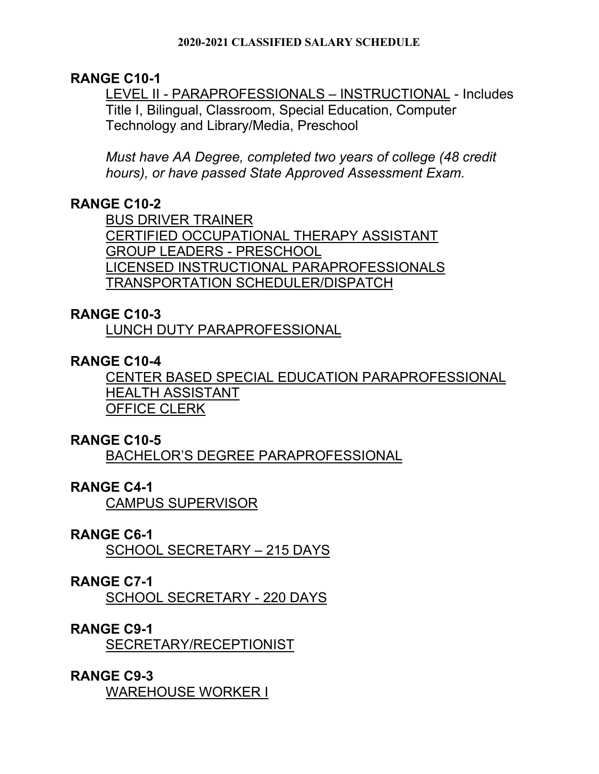#### **2020-2021 CLASSIFIED SALARY SCHEDULE**

## **RANGE C10-1**

LEVEL II - PARAPROFESSIONALS – INSTRUCTIONAL - Includes Title I, Bilingual, Classroom, Special Education, Computer Technology and Library/Media, Preschool

*Must have AA Degree, completed two years of college (48 credit hours), or have passed State Approved Assessment Exam.* 

# **RANGE C10-2**

BUS DRIVER TRAINER CERTIFIED OCCUPATIONAL THERAPY ASSISTANT GROUP LEADERS - PRESCHOOL LICENSED INSTRUCTIONAL PARAPROFESSIONALS TRANSPORTATION SCHEDULER/DISPATCH

## **RANGE C10-3**

LUNCH DUTY PARAPROFESSIONAL

## **RANGE C10-4**

CENTER BASED SPECIAL EDUCATION PARAPROFESSIONAL HEALTH ASSISTANT OFFICE CLERK

## **RANGE C10-5**

BACHELOR'S DEGREE PARAPROFESSIONAL

## **RANGE C4-1**

CAMPUS SUPERVISOR

## **RANGE C6-1**

SCHOOL SECRETARY – 215 DAYS

## **RANGE C7-1**

SCHOOL SECRETARY - 220 DAYS

## **RANGE C9-1**

SECRETARY/RECEPTIONIST

## **RANGE C9-3**

WAREHOUSE WORKER I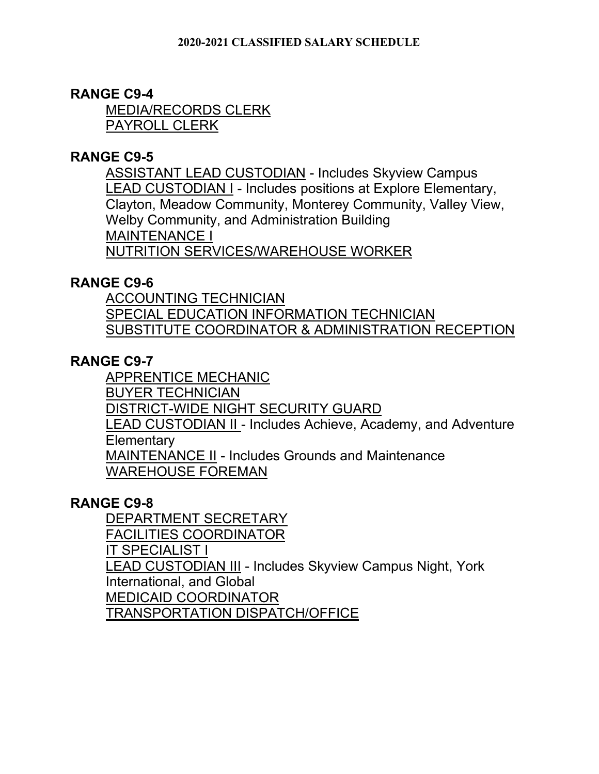# **RANGE C9-4**

MEDIA/RECORDS CLERK PAYROLL CLERK

## **RANGE C9-5**

ASSISTANT LEAD CUSTODIAN - Includes Skyview Campus LEAD CUSTODIAN I - Includes positions at Explore Elementary, Clayton, Meadow Community, Monterey Community, Valley View, Welby Community, and Administration Building MAINTENANCE I NUTRITION SERVICES/WAREHOUSE WORKER

## **RANGE C9-6**

ACCOUNTING TECHNICIAN SPECIAL EDUCATION INFORMATION TECHNICIAN SUBSTITUTE COORDINATOR & ADMINISTRATION RECEPTION

# **RANGE C9-7**

APPRENTICE MECHANIC BUYER TECHNICIAN DISTRICT-WIDE NIGHT SECURITY GUARD LEAD CUSTODIAN II - Includes Achieve, Academy, and Adventure **Elementary** MAINTENANCE II - Includes Grounds and Maintenance WAREHOUSE FOREMAN

## **RANGE C9-8**

DEPARTMENT SECRETARY FACILITIES COORDINATOR IT SPECIALIST I LEAD CUSTODIAN III - Includes Skyview Campus Night, York International, and Global MEDICAID COORDINATOR TRANSPORTATION DISPATCH/OFFICE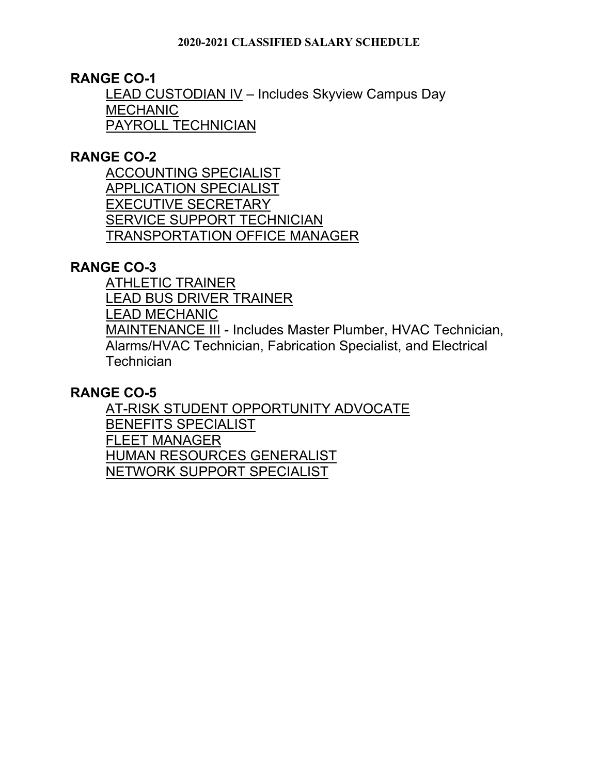**RANGE CO-1** 

LEAD CUSTODIAN IV – Includes Skyview Campus Day **MECHANIC** PAYROLL TECHNICIAN

# **RANGE CO-2**

ACCOUNTING SPECIALIST APPLICATION SPECIALIST EXECUTIVE SECRETARY SERVICE SUPPORT TECHNICIAN TRANSPORTATION OFFICE MANAGER

# **RANGE CO-3**

ATHLETIC TRAINER LEAD BUS DRIVER TRAINER LEAD MECHANIC MAINTENANCE III - Includes Master Plumber, HVAC Technician, Alarms/HVAC Technician, Fabrication Specialist, and Electrical **Technician** 

## **RANGE CO-5**

AT-RISK STUDENT OPPORTUNITY ADVOCATE BENEFITS SPECIALIST FLEET MANAGER HUMAN RESOURCES GENERALIST NETWORK SUPPORT SPECIALIST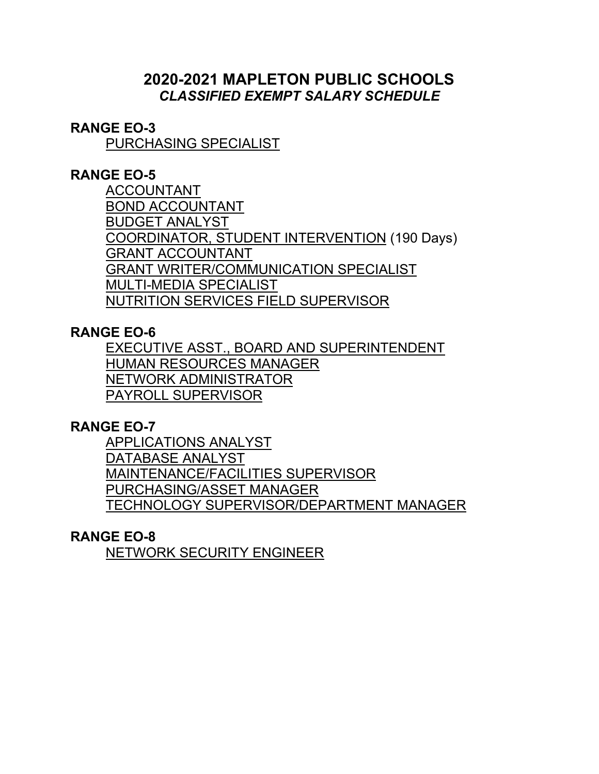# **2020-2021 MAPLETON PUBLIC SCHOOLS**  *CLASSIFIED EXEMPT SALARY SCHEDULE*

## **RANGE EO-3**

PURCHASING SPECIALIST

## **RANGE EO-5**

ACCOUNTANT BOND ACCOUNTANT BUDGET ANALYST COORDINATOR, STUDENT INTERVENTION (190 Days) GRANT ACCOUNTANT GRANT WRITER/COMMUNICATION SPECIALIST MULTI-MEDIA SPECIALIST NUTRITION SERVICES FIELD SUPERVISOR

## **RANGE EO-6**

EXECUTIVE ASST., BOARD AND SUPERINTENDENT HUMAN RESOURCES MANAGER NETWORK ADMINISTRATOR PAYROLL SUPERVISOR

## **RANGE EO-7**

APPLICATIONS ANALYST DATABASE ANALYST MAINTENANCE/FACILITIES SUPERVISOR PURCHASING/ASSET MANAGER TECHNOLOGY SUPERVISOR/DEPARTMENT MANAGER

## **RANGE EO-8**

NETWORK SECURITY ENGINEER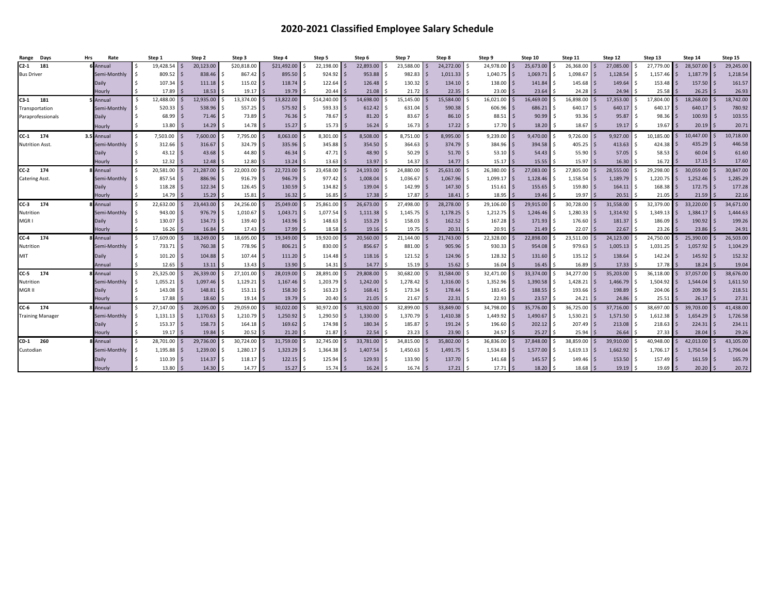#### **2020-2021 Classified Employee Salary Schedule**

| Days<br>Range           | Rate<br>Hrs   | Step 1                  | Step 2     | Step 3                  | Step 4             | Step 5      | Step 6                               | Step 7    | Step 8    | Step 9                 | Step 10      | Step 11   | Step 12                       | Step 13       | Step 14   | Step 15   |
|-------------------------|---------------|-------------------------|------------|-------------------------|--------------------|-------------|--------------------------------------|-----------|-----------|------------------------|--------------|-----------|-------------------------------|---------------|-----------|-----------|
| $C2-1$<br>181           | 6 Annual      | 19,428.54 \$            | 20,123.00  | \$20,818.00             | \$21,492.00        | 22.198.00   | 22,893.00<br>$\overline{\mathbf{s}}$ | 23.588.00 | 24,272.00 | 24,978.00 \$           | 25,673.00    | 26,368.00 | 27.085.00                     | 27.779.00     | 28,507.00 | 29,245.00 |
| <b>Bus Driver</b>       | Semi-Monthly  | $809.52$ \$             | 838.46     | 867.42                  | 895.50             | $924.92$ \$ | 953.88                               | 982.83    | 1,011.33  | $1,040.75$ \$          | 1,069.71     | 1,098.67  | 1,128.54                      | 1,157.46      | 1,187.79  | 1,218.54  |
|                         | Daily         | $107.34$ \$             | 111.18     | 115.02                  | 118.74             | 122.64      | <b>S</b><br>126.48                   | 130.32    | 134.10    | $138.00$ \$            | 141.84       | 145.68    | 149.64<br>$\mathsf{S}$        | 153.48<br>l s | 157.50    | 161.57    |
|                         | Hourly        | $17.89$ \$              | 18.53      | 19.17                   | 19.79              | 20.44       | 21.08                                | 21.72     | 22.35     | 23.00                  | 23.64        | 24.28     | 24.94                         | 25.58         | 26.25     | 26.93     |
| $C3-1$<br>181           | <b>Annual</b> | 12,488.00 \$            | 12,935.00  | 13,374.00               | 13,822.00          | \$14,240.00 | 14,698.00                            | 15,145.00 | 15,584.00 | 16,021.00              | 16,469.00    | 16,898.00 | 17,353.00                     | 17,804.00     | 18,268.00 | 18,742.00 |
| Transportation          | Semi-Monthly  | $520.33$ \$             | 538.96     | 557.25                  | 575.92             | 593.33      | 612.42                               | 631.04    | 590.38    | $606.96$ \$            | 686.21       | 640.17    | 640.17                        | 640.17        | 640.17    | 780.92    |
| Paraprofessionals       | Daily         | $68.99$ \$              | 71.46      | 73.89<br>\$             | 76.36              | 78.67       | 81.20                                | 83.67     | 86.10     | $88.51$ \$             | 90.99        | 93.36     | 95.87                         | 98.36         | 100.93    | 103.55    |
|                         | Hourly        | Ś.<br>$13.80$ \$        | 14.29      | 14.78<br>Ŝ.             | 15.27<br>S.        | $15.73$ \$  | 16.24                                | 16.73     | 17.22     | 17.70<br>-Ś.           | 18.20<br>l S | 18.67     | 19.17                         | 19.67         | 20.19     | 20.71     |
| CC-1 174                | 3.5 Annual    | $\zeta$<br>7,503.00 \$  | 7,600.00   | 7,795.00                | 8,063.00           | 8,301.00    | 8,508.00                             | 8,751.00  | 8,995.00  | 9,239.00               | 9,470.00     | 9,726.00  | 9,927.00                      | 10,185.00     | 10,447.00 | 10,718.00 |
| Nutrition Asst.         | Semi-Monthly  | $312.66$ \$             | 316.67     | 324.79                  | 335.96             | 345.88      | 354.50                               | 364.63    | 374.79    | $384.96$ \$<br>$\zeta$ | 394.58       | 405.25    | $413.63$ \$<br><sup>5</sup>   | 424.38        | 435.29    | 446.58    |
|                         | Daily         | Ś.<br>$43.12$ \$        | 43.68      | 44.80<br>l s            | 46.34<br>I S       | $47.71$ \$  | $48.90$ \$                           | 50.29     | 51.70     | $53.10$ \$<br>$\zeta$  | 54.43        | 55.90     | $57.05$ \$<br>$\mathsf{S}$    | 58.53         | 60.04     | 61.60     |
|                         | Hourly        | Ś.<br>$12.32 \mid 5$    | 12.48      | 12.80<br>$\mathsf{s}$   | 13.24              | 13.63       | 13.97                                | 14.37     | 14.77     | 15.17S                 | 15.55        | 15.97     | $16.30$ \$                    | 16.72         | 17.15     | 17.60     |
| $CC-2$<br>174           | Annual        | 20,581.00 \$<br>ς.      | 21,287.00  | 22,003.00               | 22,723.00          | 23,458.00   | 24,193.00                            | 24,880.00 | 25,631.00 | 26,380.00 \$           | 27,083.00    | 27,805.00 | 28,555.00                     | 29,298.00     | 30,059.00 | 30,847.00 |
| Catering Asst.          | Semi-Monthly  | $857.54$ \$             | 886.96     | $916.79$ \$<br>Ŝ        | $946.79$ \$        | 977.42      | 1,008.04<br>I \$                     | 1,036.67  | 1,067.96  | 1,099.17 \$<br>ς.      | 1,128.46     | 1,158.54  | 1,189.79 \$<br>$\mathsf{S}$   | 1,220.75      | 1,252.46  | 1,285.29  |
|                         | Daily         | Ś.<br>$118.28$ \$       | 122.34     | 126.45<br>-Ś            | $130.59$ \$<br>IS. | 134.82      | 139.04                               | 142.99    | 147.30    | $151.61$ \$<br>Ŝ.      | 155.65       | 159.80    | S.<br>$164.11$ \$             | 168.38        | 172.75    | 177.28    |
|                         | Hourly        | $14.79$ S               | 15.29      | 15.81                   | 16.32              | 16.85       | 17.38                                | 17.87     | 18.41     | $18.95$ \$             | 19.46        | 19.97     | 20.51                         | 21.05         | 21.59     | 22.16     |
| 174<br>$CC-3$           | Annual        | 22,632.00 \$<br>$\zeta$ | 23.443.00  | 24,256.00               | 25,049.00          | 25,861.00   | 26,673.00                            | 27,498.00 | 28,278.00 | 29,106.00 \$           | 29,915.00    | 30,728.00 | 31,558.00                     | 32,379.00     | 33,220.00 | 34,671.00 |
| Nutrition               | Semi-Monthly  | $943.00$ \$             | 976.79     | 1,010.67<br>-S          | 1,043.71           | 1,077.54    | 1,111.38                             | 1,145.75  | 1,178.25  | $1,212.75$ \$<br>S.    | 1,246.46     | 1,280.33  | 1,314.92<br><sup>5</sup>      | 1,349.13      | 1,384.17  | 1,444.63  |
| MGR I                   | Daily         | Š.<br>$130.07$ \$       | 134.73     | 139.40<br>l \$          | 143.96<br>IS.      | 148.63      | 153.29<br>l S                        | 158.03    | 162.52    | $167.28$ \$<br>Ŝ.      | 171.93       | 176.60    | $\mathsf{S}$<br>$181.37$ \$   | 186.09        | 190.92    | 199.26    |
|                         | Hourly        | $16.26$ \$              | 16.84      | 17.43<br>Ŝ.             | 17.99              | 18.58       | $19.16$ \$                           | 19.75     | 20.31     | $20.91$ \$             | 21.49        | 22.07     | 22.67                         | 23.26         | 23.86     | 24.91     |
| $CC-4$<br>174           | Annual        | 17,609.00 \$            | 18,249.00  | 18,695.00               | 19,349.00          | 19,920.00   | 20,560.00                            | 21,144.00 | 21,743.00 | 22,328.00 \$           | 22,898.00    | 23,511.00 | 24,123.00                     | 24,750.00     | 25,390.00 | 26,503.00 |
| Nutrition               | Semi-Monthly  | $733.71$ \$             | 760.38     | 778.96<br><sup>\$</sup> | $806.21$ \$<br>IS. | 830.00      | 856.67                               | 881.00    | 905.96    | $930.33$ \$<br>$\zeta$ | 954.08       | 979.63    | $1,005.13$ \$<br>$\mathsf{S}$ | 1,031.25      | 1,057.92  | 1,104.29  |
| MIT                     | Daily         | $101.20$ \$<br>Ś.       | 104.88     | 107.44<br><sup>\$</sup> | 111.20             | 114.48      | 118.16                               | 121.52    | 124.96    | $128.32$ \$<br>Ŝ.      | 131.60       | 135.12    | 138.64                        | 142.24        | 145.92    | 152.32    |
|                         | Annual        | $12.65$ \$              | 13.11      | 13.43                   | 13.90              | 14.31       | 14.77                                | 15.19     | 15.62     | 16.04                  | 16.45        | 16.89     | 17.33                         | 17.78         | 18.24     | 19.04     |
| $CC-5$<br>174           | Annual        | 25,325.00 \$            | 26,339.00  | 27,101.00               | 28,019.00          | 28,891.00   | 29,808.00                            | 30,682.00 | 31,584.00 | 32,471.00              | 33,374.00    | 34,277.00 | 35,203.00                     | 36,118.00     | 37,057.00 | 38,676.00 |
| Nutrition               | Semi-Monthly  | $1,055.21$ \$           | 1,097.46   | 1,129.21                | 1,167.46           | 1,203.79    | 1,242.00                             | 1,278.42  | 1,316.00  | $1,352.96$ \$          | 1,390.58     | 1,428.21  | 1,466.79                      | 1,504.92      | 1,544.04  | 1,611.50  |
| MGR II                  | Daily         | $143.08$ \$             | 148.81     | 153.11                  | 158.30             | 163.23      | 168.41                               | 173.34    | 178.44    | $183.45$ \$            | 188.55       | 193.66    | 198.89                        | 204.06        | 209.36    | 218.51    |
|                         | Hourly        | $17.88$ \$              | 18.60      | 19.14                   | 19.79              | 20.40       | 21.05                                | 21.67     | 22.31     | 22.93                  | 23.57        | 24.21     | 24.86                         | 25.51         | 26.17     | 27.31     |
| CC-6 174                | Annual        | 27,147.00 \$            | 28,095.00  | 29,059.00               | 30.022.00          | 30.972.00   | 31,920.00                            | 32,899.00 | 33,849.00 | 34,798.00              | 35.776.00    | 36,725.00 | 37,716.00                     | 38,697.00     | 39,703.00 | 41,438.00 |
| <b>Training Manager</b> | Semi-Monthly  | $1,131.13$ \$           | 1,170.63   | 1,210.79                | 1,250.92           | 1,290.50    | 1,330.00                             | 1,370.79  | 1,410.38  | 1,449.92 \$            | 1,490.67     | 1,530.21  | 1,571.50                      | 1,612.38      | 1,654.29  | 1,726.58  |
|                         | Daily         | $153.37$ \$<br>Ś.       | 158.73     | 164.18<br>Ŝ             | 169.62             | 174.98      | 180.34                               | 185.87    | 191.24    | $196.60$ \$            | 202.12       | 207.49    | 213.08                        | 218.63        | 224.31    | 234.11    |
|                         | Hourly        | $19.17$ \$              | 19.84      | 20.52                   | 21.20              | 21.87       | 22.54                                | 23.23     | 23.90     | 24.57                  | 25.27        | 25.94     | 26.64                         | 27.33         | 28.04     | 29.26     |
| CD-1 260                | Annual        | 28,701.00 \$            | 29,736.00  | 30,724.00               | 31,759.00          | 32,745.00   | 33,781.00                            | 34,815.00 | 35,802.00 | 36,836.00              | 37,848.00    | 38,859.00 | 39,910.00                     | 40,948.00     | 42,013.00 | 43,105.00 |
| Custodian               | Semi-Monthly  | $1,195.88$ \$           | 1,239.00   | 1,280.17                | 1,323.29           | 1,364.38    | 1,407.54                             | 1,450.63  | 1,491.75  | 1,534.83               | 1,577.00     | 1,619.13  | 1,662.92                      | 1,706.17      | 1,750.54  | 1,796.04  |
|                         | Daily         | $110.39$ \$             | 114.37     | 118.17                  | 122.15             | 125.94      | 129.93                               | 133.90    | 137.70    | 141.68                 | 145.57       | 149.46    | $153.50$ \$                   | 157.49        | 161.59    | 165.79    |
|                         | Hourly        | $13.80$ \$              | $14.30$ \$ | 14.77                   | 15.27              | 15.74       | 16.24                                | 16.74     | 17.21     | $17.71$ S              | 18.20        | 18.68     | $19.19$ \$                    | 19.69         | 20.20     | 20.72     |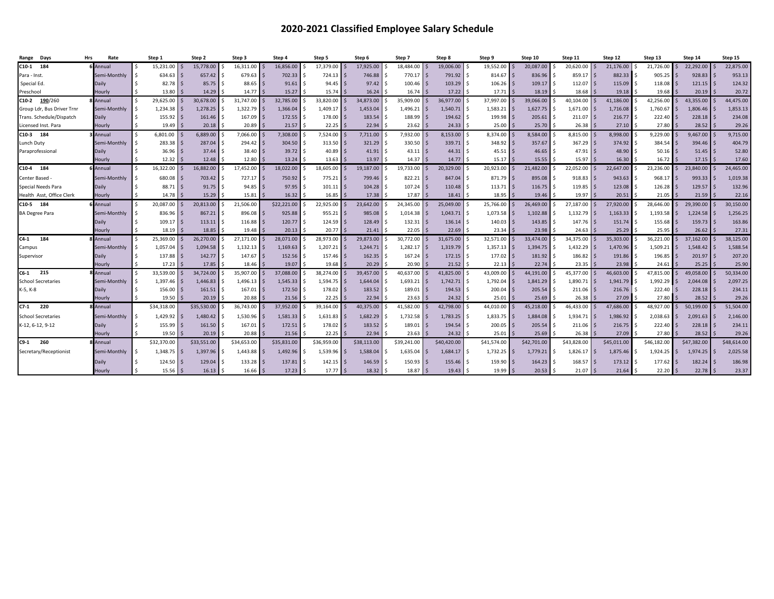#### **2020-2021 Classified Employee Salary Schedule**

| Days<br>Range              | <b>Hrs</b><br>Rate | Step 1              | Step 2           | Step 3      | Step 4            | Step 5                 | Step 6      | Step 7      | Step 8      | Step 9                       | Step 10                          | Step 11     | Step 12                     | Step 13      | Step 14     | Step 15     |
|----------------------------|--------------------|---------------------|------------------|-------------|-------------------|------------------------|-------------|-------------|-------------|------------------------------|----------------------------------|-------------|-----------------------------|--------------|-------------|-------------|
| C10-1 184                  | 6 Annual           | 15,231.00           | l s<br>15,778.00 | 16,311.00   | 16,856.00         | 17.379.00<br>- \$      | 17,925.00   | 18.484.00   | 19,006.00   | 19,552.00                    | l s<br>20.087.00                 | 20,620.00   | 21.176.00                   | 21,726.00    | 22,292.00   | 22,875.00   |
| Para - Inst.               | Semi-Monthly       | $634.63$ \$         | 657.42           | 679.63      | 702.33            | 724.13<br>ا \$         | 746.88      | 770.17      | 791.92      | $814.67$ \$<br><sup>\$</sup> | 836.96                           | 859.17      | 882.33                      | 905.25       | 928.83      | 953.13      |
| Special Ed.                | Daily              | $82.78$ \$          | 85.75            | 88.65       | 91.61             | 94.45<br>l \$          | 97.42       | 100.46      | 103.29      | $106.26$ \$                  | 109.17                           | 112.07      | 115.09 \$<br><sup>5</sup>   | 118.08       | 121.15      | 124.32      |
| Preschool                  | Hourly             | 13.80               | 14.29            | 14.77       | 15.27             | 15.74                  | 16.24       | 16.74       | 17.22       | 17.71                        | 18.19                            | 18.68       | 19.18                       | 19.68        | 20.19       | 20.72       |
| 190/260<br>C10-2           | <b>B</b> Annual    | 29,625.00           | 30.678.00        | 31,747.00   | 32.785.00         | 33,820.00              | 34,873.00   | 35,909.00   | 36,977.00   | 37,997.00                    | 39.066.00                        | 40,104.00   | 41.186.00                   | 42.256.00    | 43,355.00   | 44,475.00   |
| Group Ldr, Bus Driver Trnr | Semi-Monthly       | 1,234.38            | 1.278.25<br>l s  | 1.322.79    | 1,366.04          | 1,409.17               | 1,453.04    | 1,496.21    | 1,540.71    | $1,583.21$ \$                | 1.627.75                         | 1,671.00    | 1,716.08                    | 1,760.67     | 1,806.46    | 1,853.13    |
| Frans. Schedule/Dispatch   | Daily              | $155.92$ \$         | 161.46           | 167.09      | 172.55            | 178.00                 | 183.54      | 188.99      | 194.62      | $199.98$ \$                  | 205.61                           | 211.07      | 216.77                      | 222.40       | 228.18      | 234.08      |
| icensed Inst. Para         | Hourly             | 19.49               | 20.18            | 20.89       | 21.57             | 22.25                  | 22.94       | 23.62       | 24.33       | 25.00                        | 25.70                            | 26.38       | 27.10                       | 27.80        | 28.52       | 29.26       |
| $210-3$ 184                | Annual             | 6,801.00            | 6,889.00         | 7,066.00    | 7,308.00          | 7,524.00               | 7,711.00    | 7,932.00    | 8,153.00    | 8,374.00                     | 8,584.00                         | 8,815.00    | 8,998.00                    | 9,229.00     | 9,467.00    | 9,715.00    |
| unch Duty                  | Semi-Monthly       | 283.38              | 287.04<br>l s    | 294.42      | 304.50            | 313.50                 | 321.29      | 330.50      | 339.71      | 348.92                       | 357.67<br>l s                    | 367.29      | 374.92                      | 384.54       | 394.46      | 404.79      |
| Paraprofessional           | Daily              | 36.96               | 37.44            | 38.40       | 39.72             | 40.89                  | 41.91       | 43.11       | 44.31       | 45.51                        | 46.65<br>l \$                    | 47.91       | 48.90                       | 50.16        | 51.45       | 52.80       |
|                            | Hourly             | 12.32               | 12.48            | 12.80       | 13.24             | 13.63                  | 13.97       | 14.37       | 14.77       | 15.17                        | $\overline{\mathsf{s}}$<br>15.55 | 15.97       | 16.30                       | 16.72        | 17.15       | 17.60       |
| $10-4$ 184                 | <b>Annual</b>      | 16,322.00           | 16,882.00        | 17,452.00   | 18,022.00         | 18,605.00              | 19,187.00   | 19,733.00   | 20,329.00   | 20,923.00                    | 21,482.00                        | 22,052.00   | 22,647.00                   | 23,236.00    | 23,840.00   | 24,465.00   |
| Center Based               | Semi-Monthly       | 680.08              | 703.42<br>l \$   | 727.17      | 750.92            | 775.21                 | 799.46      | 822.21      | 847.04      | $871.79$ \$<br>S.            | 895.08                           | 918.83      | 943.63                      | 968.17       | 993.33      | 1,019.38    |
| Special Needs Para         | Daily              | 88.71               | 91.75<br>l \$    | 94.85       | 97.95             | 101.11<br>l S          | 104.28      | 107.24      | 110.48      | $113.71$   \$                | 116.75                           | 119.85      | 123.08 \$<br>-Ś             | 126.28       | 129.57      | 132.96      |
| Health Asst, Office Clerk  | Hourly             | 14.78               | 15.29<br>l s     | 15.81       | 16.32             | 16.85                  | 17.38       | 17.87       | 18.41       | 18.95                        | 19.46<br>l s                     | 19.97       | 20.51                       | 21.05        | 21.59       | 22.16       |
| C10-5 184                  | 6 Annual           | Ŝ.<br>20,087.00     | 20,813.00<br>l S | 21,506.00   | \$22,221.00       | 22,925.00              | 23,642.00   | 24,345.00   | 25,049.00   | 25,766.00                    | 26,469.00<br>l S                 | 27,187.00   | 27,920.00                   | 28,646.00    | 29,390.00   | 30,150.00   |
| <b>BA Degree Para</b>      | Semi-Monthly       | 836.96 \$<br>Ŝ.     | 867.21           | 896.08      | 925.88            | 955.21                 | 985.08      | 1,014.38    | 1,043.71    | $1,073.58$ \$                | 1,102.88                         | 1,132.79    | 1,163.33<br><sup>5</sup>    | 1,193.58     | 1,224.58    | 1,256.25    |
|                            | Daily              | 109.17              | 113.11<br>l \$   | 116.88      | 120.77            | 124.59                 | 128.49      | 132.31      | 136.14      | 140.03<br><sup>\$</sup>      | 143.85<br>l \$                   | 147.76      | $151.74$ \$<br>-Ś           | 155.68       | 159.73      | 163.86      |
|                            | Hourly             | 18.19               | l s<br>18.85     | 19.48       | 20.13             | 20.77                  | 21.41       | 22.05       | 22.69       | 23.34                        | 23.98                            | 24.63       | 25.29                       | 25.95        | 26.62       | 27.31       |
| C4-1<br>184                | <b>B</b> Annual    | 25,369.00<br>$\leq$ | 26,270.00        | 27,171.00   | 28,071.00         | 28,973.00              | 29,873.00   | 30,772.00   | 31,675.00   | 32,571.00                    | 33.474.00<br>l S                 | 34,375.00   | 35,303.00                   | 36,221.00    | 37,162.00   | 38,125.00   |
| Campus                     | Semi-Monthly       | 1,057.04            | 1.094.58<br>l s  | 1,132.13    | 1,169.63          | 1,207.21               | 1.244.71    | 1,282.17    | 1,319.79    | $1,357.13$ \$                | 1.394.75                         | 1,432.29    | 1,470.96 \$<br><sup>5</sup> | 1,509.21     | 1.548.42    | 1,588.54    |
| Supervisor                 | Daily              | 137.88              | 142.77<br>l \$   | 147.67      | $152.56$ \$<br>S. | 157.46                 | 162.35      | 167.24      | 172.15      | $177.02$ \$                  | 181.92                           | 186.82      | $191.86$ \$                 | 196.85       | 201.97      | 207.20      |
|                            | Hourly             | 17.23               | 17.85            | 18.46       | 19.07             | 19.68                  | 20.29       | 20.90       | 21.52       | 22.13                        | 22.74                            | 23.35       | 23.98                       | 24.61        | 25.25       | 25.90       |
| 215<br>C6-1                | 8 Annual           | 33,539.00<br>Ŝ.     | 34,724.00<br>l S | 35,907.00   | 37,088.00         | 38,274.00              | 39,457.00   | 40,637.00   | 41,825.00   | 43,009.00                    | 44,191.00                        | 45,377.00   | 46,603.00                   | 47,815.00    | 49,058.00   | 50,334.00   |
| <b>School Secretaries</b>  | Semi-Monthly       | $1,397.46$ \$       | 1,446.83         | 1,496.13    | 1,545.33          | 1,594.75<br>ا \$       | 1,644.04    | 1,693.21    | 1,742.71    | 1,792.04                     | 1,841.29<br>ا \$                 | 1,890.71    | 1,941.79 \$                 | 1,992.29     | 2,044.08    | 2,097.25    |
| K-5, K-8                   | Daily              | 156.00              | 161.51<br>l \$   | 167.01      | 172.50            | 178.02<br>$\mathsf{S}$ | 183.52      | 189.01      | 194.53      | 200.04<br><sup>\$</sup>      | 205.54<br>l s                    | 211.06      | 216.76<br>-S                | 222.40<br>-S | 228.18      | 234.11      |
|                            | Hourly             | 19.50               | 20.19            | 20.88       | 21.56             | 22.25                  | 22.94       | 23.63       | 24.32       | 25.01                        | 25.69                            | 26.38       | 27.09                       | 27.80        | 28.52       | 29.26       |
| 220<br>C7-1                | 8 Annual           | \$34,318.00         | \$35,530.00      | 36,743.00   | 37.952.00         | 39.164.00              | 40.375.00   | 41.582.00   | 42,798.00   | 44,010.00                    | 45.218.00                        | 46.433.00   | 47.686.00                   | 48.927.00    | 50,199.00   | 51,504.00   |
| <b>School Secretaries</b>  | Semi-Monthly       | 1,429.92<br>Ŝ.      | 1,480.42<br>l \$ | 1,530.96    | 1,581.33          | 1,631.83               | 1,682.29    | 1,732.58    | 1,783.25    | $1,833.75$ \$                | 1,884.08                         | 1,934.71    | 1,986.92                    | 2,038.63     | 2,091.63    | 2,146.00    |
| K-12, 6-12, 9-12           | Daily              | 155.99              | 161.50<br>l \$   | 167.01      | 172.51            | 178.02                 | 183.52      | 189.01      | 194.54      | 200.05                       | 205.54<br>l \$                   | 211.06      | $216.75$ \$<br>-Ś           | 222.40       | 228.18      | 234.11      |
|                            | Hourly             | 19.50               | 20.19<br>l \$    | 20.88       | 21.56             | 22.25                  | 22.94       | 23.63       | 24.32       | 25.01                        | 25.69                            | 26.38       | 27.09                       | 27.80        | 28.52       | 29.26       |
| C9-1<br>260                | <b>8</b> Annual    | \$32,370.00         | \$33,551.00      | \$34,653.00 | \$35,831.00       | \$36,959.00            | \$38,113.00 | \$39,241.00 | \$40,420.00 | \$41,574.00                  | \$42,701.00                      | \$43,828.00 | \$45,011.00                 | \$46,182.00  | \$47,382.00 | \$48,614.00 |
| Secretary/Receptionist     | Semi-Monthly       | $1,348.75$ \$       | 1,397.96         | 1,443.88    | 1,492.96          | 1,539.96               | 1,588.04    | 1,635.04    | 1,684.17    | $1,732.25$ \$                | 1,779.21                         | 1,826.17    | 1,875.46 \$                 | 1,924.25     | 1,974.25    | 2,025.58    |
|                            | Daily              | $124.50$ \$         | 129.04           | 133.28      | 137.81            | 142.15                 | 146.59      | 150.93      | 155.46      | 159.90                       | 164.23                           | 168.57      | 173.12                      | 177.62       | 182.24      | 186.98      |
|                            | Hourly             | 15.56               | 16.13            | 16.66       | 17.23             | 17.77                  | 18.32       | 18.87       | 19.43       | 19.99                        | 20.53                            | 21.07       | 21.64                       | 22.20        | 22.78       | 23.37       |
|                            |                    |                     |                  |             |                   |                        |             |             |             |                              |                                  |             |                             |              |             |             |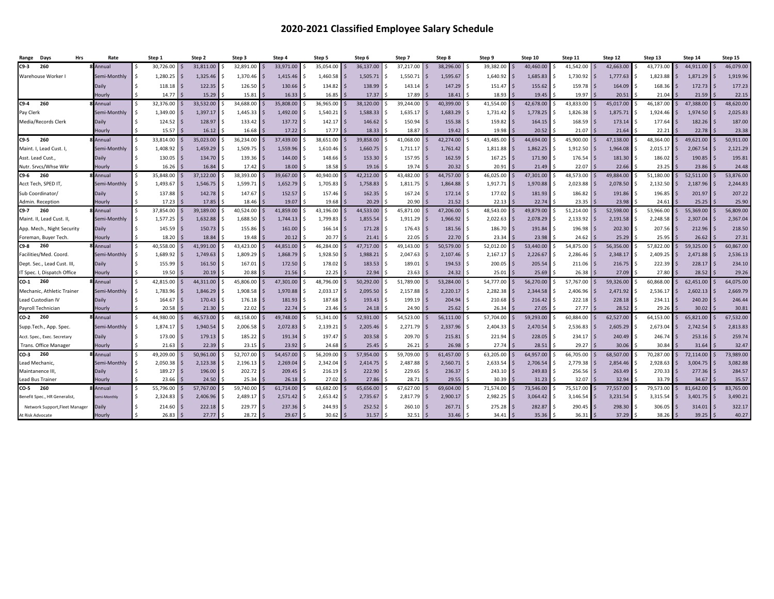#### **2020-2021 Classified Employee Salary Schedule**

| Days<br><b>Hrs</b><br>Range    | Rate            | Step 1          | Step 2                            | Step 3    | Step 4         | Step 5       | Step 6    | Step 7        | Step 8    | Step 9        | Step 10          | Step 11       | Step 12                | Step 13   | Step 14   | Step 15   |
|--------------------------------|-----------------|-----------------|-----------------------------------|-----------|----------------|--------------|-----------|---------------|-----------|---------------|------------------|---------------|------------------------|-----------|-----------|-----------|
| 260<br>C9-3                    | <b>B</b> Annual | 30,726.00       | 31,811.00                         | 32,891.00 | 33,971.00      | 35,054.00    | 36,137.00 | 37,217.00     | 38,296.00 | 39,382.00     | 40,460.00        | 41,542.00     | 42,663.00              | 43,773.00 | 44,911.00 | 46,079.00 |
| Warehouse Worker I             | Semi-Monthly    | 1,280.25        | 1.325.46                          | 1.370.46  | 1.415.46       | 1,460.58     | 1,505.71  | 1.550.71      | 1,595.67  | 1,640.92      | 1,685.83         | 1,730.92      | 1.777.63               | 1,823.88  | 1.871.29  | 1,919.96  |
|                                | Daily           | 118.18          | 122.35                            | 126.50    | 130.66         | 134.82       | 138.99    | 143.14        | 147.29    | 151.47        | 155.62           | 159.78        | 164.09                 | 168.36    | 172.73    | 177.23    |
|                                | Hourly          | 14.77           | 15.29                             | 15.81     | 16.33          | 16.85        | 17.37     | 17.89         | 18.41     | 18.93         | 19.45            | 19.97         | 20.51                  | 21.04     | 21.59     | 22.15     |
| 260<br>C9-4                    | Annual          | Ŝ.<br>32,376.00 | 33.532.00<br>∣ \$                 | 34.688.00 | 35.808.00      | 36.965.00    | 38.120.00 | 39,244.00     | 40.399.00 | 41.554.00     | 42.678.00        | 43.833.00     | 45.017.00              | 46.187.00 | 47.388.00 | 48,620.00 |
| Pay Clerk                      | Semi-Monthly    | 1,349.00        | 1,397.17<br>∣ \$                  | 1,445.33  | 1,492.00       | 1,540.21     | 1,588.33  | 1,635.17      | 1,683.29  | 1,731.42      | 1,778.25<br>l S  | 1,826.38      | 1,875.71               | 1,924.46  | 1,974.50  | 2,025.83  |
| Media/Records Clerk            | Daily           | 124.52          | l S<br>128.97                     | 133.42    | 137.72<br>-S   | 142.17<br>-S | 146.62    | 150.94        | 155.38    | 159.82        | 164.15<br>l S    | 168.59        | 173.14<br>$\varsigma$  | 177.64    | 182.26    | 187.00    |
|                                | Hourly          | 15.57           | 16.12                             | 16.68     | 17.22          | 17.77        | 18.33     | 18.87         | 19.42     | 19.98         | 20.52            | 21.07         | 21.64                  | 22.21     | 22.78     | 23.38     |
| C9-5 260                       | Annual          | 33,814.00       | 35,023.00                         | 36,234.00 | 37,439.00      | 38,651.00    | 39,858.00 | 41,068.00     | 42,274.00 | 43,485.00     | 44,694.00        | 45,900.00     | 47,138.00              | 48,364.00 | 49,621.00 | 50,911.00 |
| Maint. I, Lead Cust. I,        | Semi-Monthly    | 1,408.92        | 1,459.29                          | 1,509.75  | 1,559.96       | 1,610.46     | 1.660.75  | 1,711.17      | 1,761.42  | 1,811.88      | 1,862.25         | 1,912.50      | 1,964.08               | 2,015.17  | 2,067.54  | 2,121.29  |
| Asst. Lead Cust.               | Daily           | 130.05          | 134.70<br>∣ <                     | 139.36    | 144.00<br>-Ś   | 148.66       | 153.30    | 157.95        | 162.59    | 167.25<br>Ś.  | 171.90<br>l S    | 176.54        | 181.30                 | 186.02    | 190.85    | 195.81    |
| \utr. Srvcs/Whse Wkr           | Hourly          | 16.26           | 16.84                             | 17.42     | 18.00          | 18.58        | 19.16     | 19.74         | 20.32     | 20.91         | 21.49            | 22.07         | 22.66                  | 23.25     | 23.86     | 24.48     |
| 260<br>C9-6                    | Annual          | 35,848.00       | 37.122.00                         | 38,393.00 | 39.667.00      | 40.940.00    | 42.212.00 | 43,482.00     | 44,757.00 | 46,025.00     | 47.301.00        | 48,573.00     | 49.884.00              | 51.180.00 | 52.511.00 | 53,876.00 |
| Acct Tech, SPED IT,            | Semi-Monthly    | 1,493.67        | 1,546.75                          | 1,599.71  | 1,652.79       | 1,705.83     | 1,758.83  | 1,811.75      | 1,864.88  | 1,917.71      | 1,970.88         | 2,023.88      | 2,078.50               | 2,132.50  | 2,187.96  | 2,244.83  |
| Sub Coordinator                | Daily           | 137.88          | 142.78                            | 147.67    | 152.57         | 157.46       | 162.35    | 167.24        | 172.14    | 177.02<br>\$  | 181.93           | 186.82        | 191.86                 | 196.85    | 201.97    | 207.22    |
| Admin. Reception               | Hourly          | 17.23           | 17.85                             | 18.46     | 19.07          | 19.68        | 20.29     | 20.90         | 21.52     | 22.13         | 22.74            | 23.35         | 23.98                  | 24.61     | 25.25     | 25.90     |
| C9-7<br>260                    | <b>B</b> Annual | 37,854.00       | 39.189.00                         | 40,524.00 | 41.859.00      | 43.196.00    | 44,533.00 | 45,871.00     | 47,206.00 | 48,543.00     | 49.879.00        | 51,214.00     | 52.598.00              | 53.966.00 | 55.369.00 | 56,809.00 |
| Maint. II, Lead Cust. II,      | Semi-Monthly    | 1,577.25        | 1,632.88                          | 1,688.50  | 1,744.13       | 1,799.83     | 1,855.54  | 1,911.29      | 1,966.92  | 2,022.63      | 2,078.29         | 2,133.92      | 2,191.58               | 2,248.58  | 2,307.04  | 2,367.04  |
| App. Mech., Night Security     | Daily           | 145.59          | 150.73<br>l \$                    | 155.86    | 161.00         | 166.14       | 171.28    | 176.43        | 181.56    | 186.70        | 191.84           | 196.98        | 202.30                 | 207.56    | 212.96    | 218.50    |
| Foreman, Buyer Tech            | Hourly          | 18.20           | 18.84                             | 19.48     | 20.12          | 20.77        | 21.41     | 22.05         | 22.70     | 23.34         | 23.98            | 24.62         | 25.29                  | 25.95     | 26.62     | 27.31     |
| C9-8<br>260                    | Annual          | 40,558.00<br>Ŝ. | 41.991.00                         | 43,423.00 | 44.851.00      | 46,284.00    | 47,717.00 | 49,143.00     | 50,579.00 | 52,012.00     | 53.440.00<br>∣ < | 54,875.00     | 56,356.00              | 57,822.00 | 59.325.00 | 60,867.00 |
| acilities/Med. Coord           | Semi-Monthly    | 1,689.92        | 1.749.63                          | 1,809.29  | 1.868.79<br>-Ś | 1,928.50     | 1,988.21  | 2,047.63      | 2,107.46  | 2,167.17      | 2.226.67         | 2,286.46      | 2.348.17               | 2,409.25  | 2.471.88  | 2,536.13  |
| Dept. Sec., Lead Cust. III     | Daily           | 155.99          | $\overline{\mathbf{s}}$<br>161.50 | 167.01    | 172.50         | 178.02<br>.S | 183.53    | 189.01        | 194.53    | 200.05        | 205.54<br>l S    | 211.06        | 216.75<br><sub>S</sub> | 222.39    | 228.17    | 234.10    |
| T Spec. I, Dispatch Office     | Hourly          | 19.50           | 20.19                             | 20.88     | 21.56          | 22.25        | 22.94     | 23.63         | 24.32     | 25.01         | 25.69            | 26.38         | 27.09                  | 27.80     | 28.52     | 29.26     |
| CO-1 260                       | Annual          | 42,815.00       | 44.311.00                         | 45.806.00 | 47.301.00      | 48.796.00    | 50,292.00 | 51.789.00     | 53.284.00 | 54.777.00     | 56.270.00        | 57,767.00     | 59.326.00              | 60.868.00 | 62.451.00 | 64,075.00 |
| Mechanic, Athletic Trainer     | Semi-Monthly    | 1,783.96        | 1.846.29                          | 1,908.58  | 1.970.88       | 2,033.17     | 2.095.50  | 2,157.88      | 2,220.17  | 2,282.38      | 2.344.58         | 2,406.96      | 2,471.92               | 2,536.17  | 2,602.13  | 2,669.79  |
| Lead Custodian IV              | Daily           | Ŝ.<br>164.67    | ∣ \$<br>170.43                    | 176.18    | 181.93<br>-Ś   | 187.68<br>.S | 193.43    | 199.19        | 204.94    | Ś.<br>210.68  | l S<br>216.42    | 222.18        | 228.18<br><sup>5</sup> | 234.11    | 240.20    | 246.44    |
| Payroll Technician             | Hourly          | 20.58           | 21.30                             | 22.02     | 22.74          | 23.46        | 24.18     | 24.90         | 25.62     | 26.34         | 27.05            | 27.77         | 28.52                  | 29.26     | 30.02     | 30.81     |
| CO-2<br>260                    | 8 Annual        | 44,980.00       | 46.573.00<br>$\leq$               | 48,158.00 | 49.748.00      | 51.341.00    | 52,931.00 | 54.523.00     | 56.111.00 | 57,704.00     | 59.293.00        | 60,884.00     | 62.527.00              | 64.153.00 | 65,821.00 | 67,532.00 |
| Supp.Tech., App. Spec.         | Semi-Monthly    | 1,874.17        | 1.940.54<br>∣ S                   | 2,006.58  | 2,072.83<br>-S | 2,139.21     | 2,205.46  | 2,271.79<br>ς | 2,337.96  | 2,404.33<br>S | 2,470.54<br>l S  | 2,536.83<br>s | 2,605.29               | 2,673.04  | 2,742.54  | 2,813.83  |
| Acct. Spec., Exec. Secretary   | Daily           | 173.00          | 179.13<br>l \$                    | 185.22    | 191.34<br>-S   | 197.47<br>.S | 203.58    | 209.70        | 215.81    | 221.94<br>\$. | 228.05<br>l S    | 234.17        | 240.49<br><sub>S</sub> | 246.74    | 253.16    | 259.74    |
| Trans. Office Manager          | Hourly          | 21.63           | 22.39                             | 23.15     | 23.92          | 24.68        | 25.45     | 26.21         | 26.98     | 27.74         | 28.51            | 29.27         | 30.06                  | 30.84     | 31.64     | 32.47     |
| 260<br>CO-3                    | <b>B</b> Annual | 49,209.00       | 50,961.00                         | 52,707.00 | 54,457.00      | 56,209.00    | 57,954.00 | 59,709.00     | 61,457.00 | 63,205.00     | 64,957.00        | 66,705.00     | 68,507.00              | 70,287.00 | 72,114.00 | 73,989.00 |
| ead Mechanic,                  | Semi-Monthly    | 2,050.38        | 2,123.38<br>l s                   | 2,196.13  | 2,269.04       | 2,342.04     | 2,414.75  | 2,487.88      | 2,560.71  | 2,633.54      | 2,706.54         | 2,779.38      | 2,854.46               | 2,928.63  | 3,004.75  | 3,082.88  |
| Maintanence III                | Daily           | 189.27          | 196.00<br>∣ \$                    | 202.72    | 209.45<br>\$   | 216.19       | 222.90    | 229.65        | 236.37    | 243.10        | 249.83<br>l \$   | 256.56        | 263.49<br>-S           | 270.33    | 277.36    | 284.57    |
| ead Bus Trainer.               | Hourly          | 23.66           | 24.50                             | 25.34     | 26.18          | 27.02        | 27.86     | 28.71         | 29.55     | 30.39         | 31.23            | 32.07         | 32.94                  | 33.79     | 34.67     | 35.57     |
| CO-5<br>260                    | <b>B</b> Annual | 55,796.00       | 57,767.00                         | 59,740.00 | 61.714.00      | 63,682.00    | 65,656.00 | 67,627.00     | 69,604.00 | 71,574.00     | 73,546.00        | 75,517.00     | 77,557.00              | 79,573.00 | 81.642.00 | 83,765.00 |
| Benefit Spec., HR Generalist,  | emi-Monthly     | 2,324.83        | 2,406.96<br>∣ \$                  | 2,489.17  | 2,571.42<br>-Ś | 2,653.42     | 2,735.67  | 2,817.79      | 2,900.17  | 2,982.25      | 3,064.42         | 3,146.54      | 3,231.54               | 3,315.54  | 3,401.75  | 3,490.21  |
| Network Support, Fleet Manager | Daily           | 214.60          | 222.18                            | 229.77    | 237.36<br>-Ś   | 244.93       | 252.52    | 260.10        | 267.71    | 275.28        | 282.87           | 290.45        | 298.30                 | 306.05    | 314.01    | 322.17    |
| At Risk Advocate               | Hourly          | 26.83           | 27.77                             | 28.72     | 29.67          | 30.62        | 31.57     | 32.51         | 33.46     | 34.41         | 35.36            | 36.31         | 37.29                  | 38.26     | 39.25     | 40.27     |